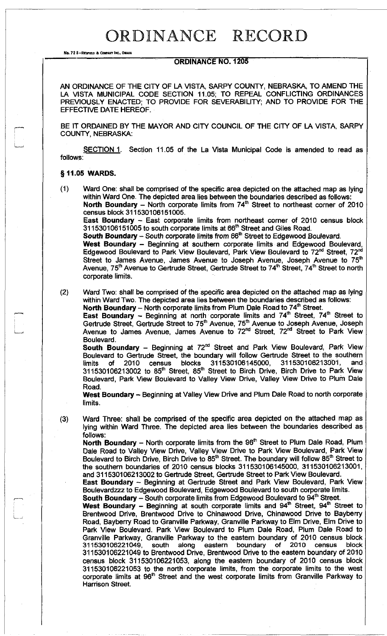## ORDINANCE RECORD

No. 72 8-REDFIELD & COMPANY INC., OMAHA

## **ORDINANCE NO. 1205**

AN ORDINANCE OF THE CITY OF LA VISTA, SARPY COUNTY, NEBRASKA, TO AMEND THE LA VISTA MUNICIPAL CODE SECTION 11.05; TO REPEAL CONFLICTING ORDINANCES PREVIOUSLY ENACTED; TO PROVIDE FOR SEVERABILITY; AND TO PROVIDE FOR THE EFFECTIVE DATE HEREOF.

BE IT ORDAINED BY THE MAYOR AND CITY COUNCIL OF THE CITY OF LA VISTA, SARPY COUNTY, NEBRASKA:

follows: SECTION 1. Section 11.05 of the La Vista Municipal Code is amended to read as

## **§11.05 WARDS.**

(1) Ward One: shall be comprised of the specific area depicted on the attached map as lying within Ward One. The depicted area lies between the boundaries described **as** follows: **North Boundary** – North corporate limits from 74<sup>th</sup> Street to northeast corner of 2010 census block 311530106151005.

**East Boundary** - East corporate limits from northeast corner of 2010 census block 311530106151005 to south corporate limits at 66<sup>th</sup> Street and Giles Road.

**South Boundary - South corporate limits from 66<sup>th</sup> Street to Edgewood Boulevard.** 

West Boundary - Beginning at southern corporate limits and Edgewood Boulevard, Edgewood Boulevard to Park View Boulevard, Park View Boulevard to 72<sup>nd</sup> Street, 72<sup>nd</sup> Street to James Avenue, James Avenue to Joseph Avenue, Joseph Avenue to 75 Avenue, 75<sup>th</sup> Avenue to Gertrude Street, Gertrude Street to 74<sup>th</sup> Street, 74<sup>th</sup> Street to north corporate limits.

(2) Ward Two: shall be comprised of the specific area depicted on the attached map as lying within Ward Two. The depicted area lies between the boundaries described as follows: **North Boundary** - North corporate limits from Plum Dale Road to 74<sup>th</sup> Street.

**East Boundary** - Beginning at north corporate limits and 74<sup>th</sup> Street, 74<sup>th</sup> Street to Gertrude Street, Gertrude Street to 75<sup>th</sup> Avenue, 75<sup>th</sup> Avenue to Joseph Avenue, Joseph Avenue to James Avenue, James Avenue to 72<sup>nd</sup> Street, 72<sup>nd</sup> Street to Park View Boulevard.

South Boundary - Beginning at 72<sup>nd</sup> Street and Park View Boulevard, Park View Boulevard to Gertrude Street, the boundary will follow Gertrude Street to the southern limits of 2010 census blocks 311530106145000, 311530106213001, and  $311530106213002$  to  $85<sup>th</sup>$  Street,  $85<sup>th</sup>$  Street to Birch Drive, Birch Drive to Park View Boulevard, Park View Boulevard to Valley View Drive, Valley View Drive to Plum Dale Road.

**West Boundary** – Beginning at Valley View Drive and Plum Dale Road to north corporate limits.

(3) Ward Three: shall be comprised of the specific area depicted on the attached map as lying within Ward Three. The depicted area lies between the boundaries described as follows:

North Boundary – North corporate limits from the 96<sup>th</sup> Street to Plum Dale Road, Plum Dale Road to Valley View Drive, Valley View Drive to Park View Boulevard, Park View Boulevard to Birch Drive, Birch Drive to 85<sup>th</sup> Street. The boundary will follow 85<sup>th</sup> Street to the southern boundaries of 2010 census blocks 311530106145000, 311530106213001, and 311530106213002 to Gertrude Street, Gertrude Street to Park View Boulevard.

**East Boundary** - Beginning at Gertrude Street and Park View Boulevard, Park View Boulevardzzz to Edgewood Boulevard, Edgewood Boulevard to south corporate limits. **South Boundary** - South corporate limits from Edgewood Boulevard to 94<sup>th</sup> Street.

**West Boundary** - Beginning at south corporate limits and 94<sup>th</sup> Street, 94<sup>th</sup> Street to Brentwood Drive, Brentwood Drive to Chinawood Drive, Chinawood Drive to Bayberry Road, Bayberry Road to Granville Parkway, Granville Parkway to Elm Drive, Elm Drive to Park View Boulevard. Park View Boulevard to Plum Dale Road, Plum Dale Road to Granville Parkway, Granville Parkway to the eastern boundary of 2010 census block 311530106221049, south along eastern boundary of 2010 census block 311530106221049 to Brentwood Drive, Brentwood Drive to the eastern boundary of 2010 census block 311530106221053, along the eastern boundary of 2010 census block 311530106221053 to the north corporate limits, from the corporate limits to the west corporate limits at 96<sup>th</sup> Street and the west corporate limits from Granville Parkway to Harrison Street.